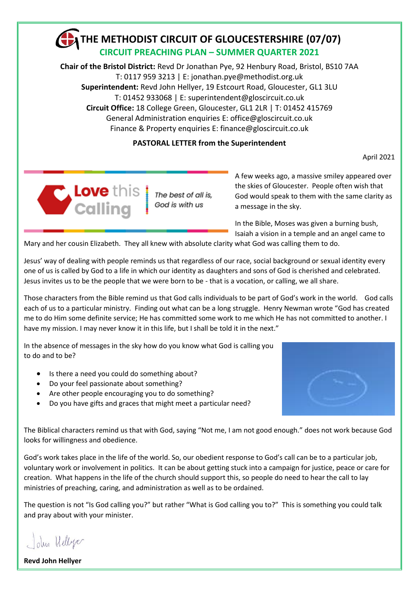# **THE METHODIST CIRCUIT OF GLOUCESTERSHIRE (07/07) CIRCUIT PREACHING PLAN – SUMMER QUARTER 2021**

**Chair of the Bristol District:** Revd Dr Jonathan Pye, 92 Henbury Road, Bristol, BS10 7AA T: 0117 959 3213 | E: jonathan.pye@methodist.org.uk **Superintendent:** Revd John Hellyer, 19 Estcourt Road, Gloucester, GL1 3LU T: 01452 933068 | E: superintendent@gloscircuit.co.uk **Circuit Office:** 18 College Green, Gloucester, GL1 2LR | T: 01452 415769 General Administration enquiries E: office[@gloscircuit.co.uk](mailto:gloscircuit1@btconnect.com) Finance & Property enquiries E: finance[@gloscircuit.co.uk](mailto:gloscircuit1@btconnect.com)

# **PASTORAL LETTER from the Superintendent**

April 2021



The best of all is, God is with us

A few weeks ago, a massive smiley appeared over the skies of Gloucester. People often wish that God would speak to them with the same clarity as a message in the sky.

In the Bible, Moses was given a burning bush, Isaiah a vision in a temple and an angel came to

Mary and her cousin Elizabeth. They all knew with absolute clarity what God was calling them to do.

Jesus' way of dealing with people reminds us that regardless of our race, social background or sexual identity every one of us is called by God to a life in which our identity as daughters and sons of God is cherished and celebrated. Jesus invites us to be the people that we were born to be - that is a vocation, or calling, we all share.

Those characters from the Bible remind us that God calls individuals to be part of God's work in the world. God calls each of us to a particular ministry. Finding out what can be a long struggle. Henry Newman wrote "God has created me to do Him some definite service; He has committed some work to me which He has not committed to another. I have my mission. I may never know it in this life, but I shall be told it in the next."

In the absence of messages in the sky how do you know what God is calling you to do and to be?

- Is there a need you could do something about?
- Do your feel passionate about something?
- Are other people encouraging you to do something?
- Do you have gifts and graces that might meet a particular need?



The Biblical characters remind us that with God, saying "Not me, I am not good enough." does not work because God looks for willingness and obedience.

God's work takes place in the life of the world. So, our obedient response to God's call can be to a particular job, voluntary work or involvement in politics. It can be about getting stuck into a campaign for justice, peace or care for creation. What happens in the life of the church should support this, so people do need to hear the call to lay ministries of preaching, caring, and administration as well as to be ordained.

The question is not "Is God calling you?" but rather "What is God calling you to?" This is something you could talk and pray about with your minister.

John Hellye

**Revd John Hellyer**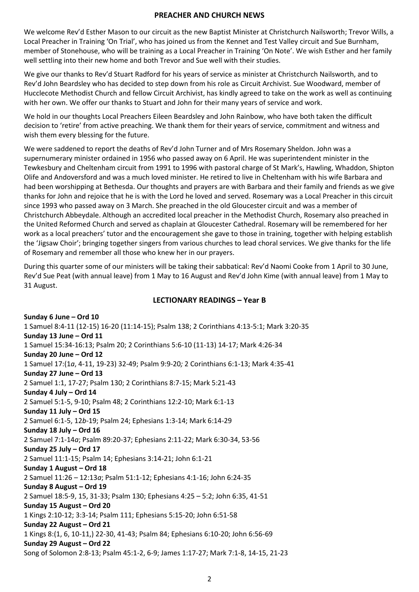### **PREACHER AND CHURCH NEWS**

We welcome Rev'd Esther Mason to our circuit as the new Baptist Minister at Christchurch Nailsworth; Trevor Wills, a Local Preacher in Training 'On Trial', who has joined us from the Kennet and Test Valley circuit and Sue Burnham, member of Stonehouse, who will be training as a Local Preacher in Training 'On Note'. We wish Esther and her family well settling into their new home and both Trevor and Sue well with their studies.

We give our thanks to Rev'd Stuart Radford for his years of service as minister at Christchurch Nailsworth, and to Rev'd John Beardsley who has decided to step down from his role as Circuit Archivist. Sue Woodward, member of Hucclecote Methodist Church and fellow Circuit Archivist, has kindly agreed to take on the work as well as continuing with her own. We offer our thanks to Stuart and John for their many years of service and work.

We hold in our thoughts Local Preachers Eileen Beardsley and John Rainbow, who have both taken the difficult decision to 'retire' from active preaching. We thank them for their years of service, commitment and witness and wish them every blessing for the future.

We were saddened to report the deaths of Rev'd John Turner and of Mrs Rosemary Sheldon. John was a supernumerary minister ordained in 1956 who passed away on 6 April. He was superintendent minister in the Tewkesbury and Cheltenham circuit from 1991 to 1996 with pastoral charge of St Mark's, Hawling, Whaddon, Shipton Olife and Andoversford and was a much loved minister. He retired to live in Cheltenham with his wife Barbara and had been worshipping at Bethesda. Our thoughts and prayers are with Barbara and their family and friends as we give thanks for John and rejoice that he is with the Lord he loved and served. Rosemary was a Local Preacher in this circuit since 1993 who passed away on 3 March. She preached in the old Gloucester circuit and was a member of Christchurch Abbeydale. Although an accredited local preacher in the Methodist Church, Rosemary also preached in the United Reformed Church and served as chaplain at Gloucester Cathedral. Rosemary will be remembered for her work as a local preachers' tutor and the encouragement she gave to those in training, together with helping establish the 'Jigsaw Choir'; bringing together singers from various churches to lead choral services. We give thanks for the life of Rosemary and remember all those who knew her in our prayers.

During this quarter some of our ministers will be taking their sabbatical: Rev'd Naomi Cooke from 1 April to 30 June, Rev'd Sue Peat (with annual leave) from 1 May to 16 August and Rev'd John Kime (with annual leave) from 1 May to 31 August.

### **LECTIONARY READINGS – Year B**

**Sunday 6 June – Ord 10** 1 Samuel 8:4-11 (12-15) 16-20 (11:14-15); Psalm 138; 2 Corinthians 4:13-5:1; Mark 3:20-35 **Sunday 13 June – Ord 11** 1 Samuel 15:34-16:13; Psalm 20; 2 Corinthians 5:6-10 (11-13) 14-17; Mark 4:26-34 **Sunday 20 June – Ord 12** 1 Samuel 17:(1*a*, 4-11, 19-23) 32-49; Psalm 9:9-20*;* 2 Corinthians 6:1-13; Mark 4:35-41 **Sunday 27 June – Ord 13** 2 Samuel 1:1, 17-27; Psalm 130; 2 Corinthians 8:7-15; Mark 5:21-43 **Sunday 4 July – Ord 14** 2 Samuel 5:1-5, 9-10; Psalm 48; 2 Corinthians 12:2-10; Mark 6:1-13 **Sunday 11 July – Ord 15** 2 Samuel 6:1-5, 12*b*-19; Psalm 24; Ephesians 1:3-14; Mark 6:14-29 **Sunday 18 July – Ord 16** 2 Samuel 7:1-14*a*; Psalm 89:20-37; Ephesians 2:11-22; Mark 6:30-34, 53-56 **Sunday 25 July – Ord 17** 2 Samuel 11:1-15; Psalm 14; Ephesians 3:14-21; John 6:1-21 **Sunday 1 August – Ord 18** 2 Samuel 11:26 – 12:13*a*; Psalm 51:1-12; Ephesians 4:1-16; John 6:24-35 **Sunday 8 August – Ord 19** 2 Samuel 18:5-9, 15, 31-33; Psalm 130; Ephesians 4:25 – 5:2; John 6:35, 41-51 **Sunday 15 August – Ord 20** 1 Kings 2:10-12; 3:3-14; Psalm 111; Ephesians 5:15-20; John 6:51-58 **Sunday 22 August – Ord 21** 1 Kings 8:(1, 6, 10-11,) 22-30, 41-43; Psalm 84; Ephesians 6:10-20; John 6:56-69 **Sunday 29 August – Ord 22** Song of Solomon 2:8-13; Psalm 45:1-2, 6-9; James 1:17-27; Mark 7:1-8, 14-15, 21-23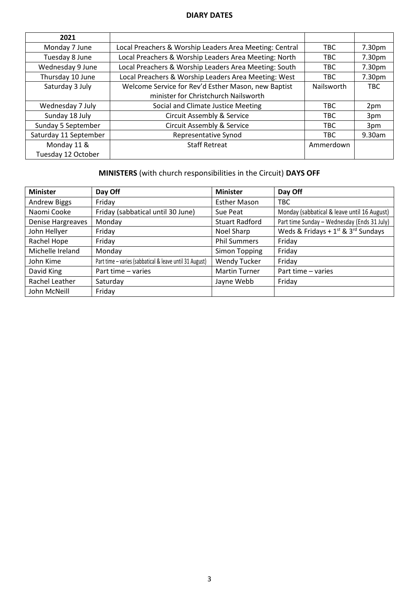## **DIARY DATES**

| 2021                  |                                                         |            |            |
|-----------------------|---------------------------------------------------------|------------|------------|
| Monday 7 June         | Local Preachers & Worship Leaders Area Meeting: Central | TBC.       | 7.30pm     |
| Tuesday 8 June        | Local Preachers & Worship Leaders Area Meeting: North   | <b>TBC</b> | 7.30pm     |
| Wednesday 9 June      | Local Preachers & Worship Leaders Area Meeting: South   | TBC.       | 7.30pm     |
| Thursday 10 June      | Local Preachers & Worship Leaders Area Meeting: West    | TBC.       | 7.30pm     |
| Saturday 3 July       | Welcome Service for Rev'd Esther Mason, new Baptist     | Nailsworth | <b>TBC</b> |
|                       | minister for Christchurch Nailsworth                    |            |            |
| Wednesday 7 July      | Social and Climate Justice Meeting                      | TBC.       | 2pm        |
| Sunday 18 July        | <b>Circuit Assembly &amp; Service</b>                   | TBC.       | 3pm        |
| Sunday 5 September    | <b>Circuit Assembly &amp; Service</b>                   | TBC.       | 3pm        |
| Saturday 11 September | Representative Synod                                    | <b>TBC</b> | 9.30am     |
| Monday 11 &           | <b>Staff Retreat</b>                                    | Ammerdown  |            |
| Tuesday 12 October    |                                                         |            |            |

# **MINISTERS** (with church responsibilities in the Circuit) **DAYS OFF**

| <b>Minister</b>          | Day Off                                                 | <b>Minister</b>       | Day Off                                      |
|--------------------------|---------------------------------------------------------|-----------------------|----------------------------------------------|
| <b>Andrew Biggs</b>      | Friday                                                  | <b>Esther Mason</b>   | <b>TBC</b>                                   |
| Naomi Cooke              | Friday (sabbatical until 30 June)                       | Sue Peat              | Monday (sabbatical & leave until 16 August)  |
| <b>Denise Hargreaves</b> | Monday                                                  | <b>Stuart Radford</b> | Part time Sunday - Wednesday (Ends 31 July)  |
| John Hellyer             | Friday                                                  | Noel Sharp            | Weds & Fridays + $1^{st}$ & $3^{rd}$ Sundays |
| Rachel Hope              | Friday                                                  | <b>Phil Summers</b>   | Friday                                       |
| Michelle Ireland         | Monday                                                  | Simon Topping         | Friday                                       |
| John Kime                | Part time - varies (sabbatical & leave until 31 August) | <b>Wendy Tucker</b>   | Friday                                       |
| David King               | Part time - varies                                      | <b>Martin Turner</b>  | Part time - varies                           |
| Rachel Leather           | Saturday                                                | Jayne Webb            | Friday                                       |
| John McNeill             | Friday                                                  |                       |                                              |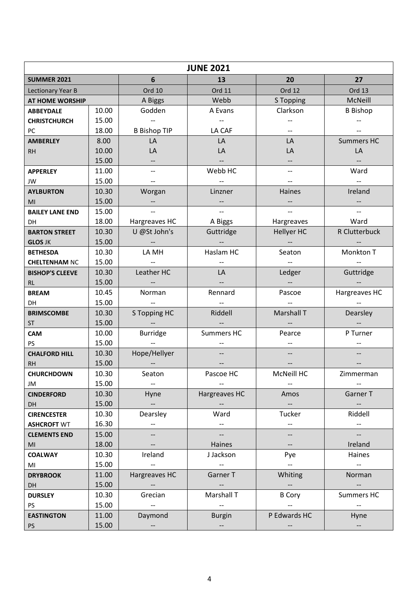|                        | <b>JUNE 2021</b> |                          |                                                     |                          |                               |  |
|------------------------|------------------|--------------------------|-----------------------------------------------------|--------------------------|-------------------------------|--|
| <b>SUMMER 2021</b>     |                  | 6                        | 13                                                  | 20                       | 27                            |  |
| Lectionary Year B      |                  | <b>Ord 10</b>            | Ord 11                                              | <b>Ord 12</b>            | <b>Ord 13</b>                 |  |
| <b>AT HOME WORSHIP</b> |                  | A Biggs                  | Webb                                                | S Topping                | McNeill                       |  |
| <b>ABBEYDALE</b>       | 10.00            | Godden                   | A Evans                                             | Clarkson                 | <b>B</b> Bishop               |  |
| <b>CHRISTCHURCH</b>    | 15.00            |                          |                                                     |                          |                               |  |
| PC                     | 18.00            | <b>B Bishop TIP</b>      | LA CAF                                              |                          |                               |  |
| <b>AMBERLEY</b>        | 8.00             | LA                       | LA                                                  | LA                       | <b>Summers HC</b>             |  |
| <b>RH</b>              | 10.00            | LA                       | LA                                                  | LA                       | LA                            |  |
|                        | 15.00            |                          |                                                     |                          |                               |  |
| <b>APPERLEY</b>        | 11.00            | $-$                      | Webb HC                                             | --                       | Ward                          |  |
| JW                     | 15.00            |                          |                                                     |                          |                               |  |
| <b>AYLBURTON</b>       | 10.30            | Worgan                   | Linzner                                             | Haines                   | Ireland                       |  |
| MI                     | 15.00            |                          |                                                     |                          |                               |  |
| <b>BAILEY LANE END</b> | 15.00            |                          |                                                     |                          |                               |  |
| <b>DH</b>              | 18.00            | Hargreaves HC            | A Biggs                                             | Hargreaves               | Ward                          |  |
| <b>BARTON STREET</b>   | 10.30            | U @St John's             | Guttridge                                           | Hellyer HC               | R Clutterbuck                 |  |
| <b>GLOS JK</b>         | 15.00            |                          |                                                     |                          |                               |  |
| <b>BETHESDA</b>        | 10.30            | LA MH                    | Haslam HC                                           | Seaton                   | Monkton T                     |  |
| <b>CHELTENHAM NC</b>   | 15.00            |                          |                                                     |                          |                               |  |
| <b>BISHOP'S CLEEVE</b> | 10.30            | Leather HC               | LA                                                  | Ledger                   | Guttridge                     |  |
| <b>RL</b>              | 15.00            |                          |                                                     |                          |                               |  |
| <b>BREAM</b>           | 10.45            | Norman                   | Rennard                                             | Pascoe                   | Hargreaves HC                 |  |
| <b>DH</b>              | 15.00            |                          |                                                     |                          |                               |  |
| <b>BRIMSCOMBE</b>      | 10.30            | S Topping HC             | Riddell                                             | Marshall T               | Dearsley                      |  |
| <b>ST</b>              | 15.00            |                          |                                                     |                          |                               |  |
| <b>CAM</b>             | 10.00            | <b>Burridge</b>          | <b>Summers HC</b>                                   | Pearce                   | P Turner                      |  |
| <b>PS</b>              | 15.00            |                          |                                                     |                          |                               |  |
| <b>CHALFORD HILL</b>   | 10.30            | Hope/Hellyer             |                                                     |                          |                               |  |
| <b>RH</b>              | 15.00            |                          |                                                     |                          |                               |  |
| <b>CHURCHDOWN</b>      | 10.30            | Seaton                   | Pascoe HC                                           | McNeill HC               | Zimmerman                     |  |
| JM                     | 15.00            |                          |                                                     |                          |                               |  |
| <b>CINDERFORD</b>      | 10.30            | Hyne                     | Hargreaves HC                                       | Amos                     | Garner T                      |  |
| DH                     | 15.00            | $\sim$ 100 $\pm$         |                                                     | $\sim$                   | $\overline{\phantom{m}}$      |  |
| <b>CIRENCESTER</b>     | 10.30            | Dearsley                 | Ward                                                | Tucker                   | Riddell                       |  |
| <b>ASHCROFT WT</b>     | 16.30            | $\overline{\phantom{m}}$ | $\hspace{0.05cm} \dashrightarrow$                   | $\overline{\phantom{a}}$ | $\hspace{0.05cm} \textbf{--}$ |  |
| <b>CLEMENTS END</b>    | 15.00            | --                       | $\overline{\phantom{a}}$                            |                          |                               |  |
| MI                     | 18.00            |                          | Haines                                              | $-$                      | Ireland                       |  |
| <b>COALWAY</b>         | 10.30            | Ireland                  | J Jackson                                           | Pye                      | Haines                        |  |
| MI                     | 15.00            |                          | $\hspace{0.05cm} -\hspace{0.05cm} -\hspace{0.05cm}$ | $\overline{\phantom{a}}$ | $\hspace{0.05cm} \ldots$      |  |
| <b>DRYBROOK</b>        | 11.00            | Hargreaves HC            | Garner T                                            | Whiting                  | Norman                        |  |
| DH                     | 15.00            | $\overline{\phantom{a}}$ | $\overline{\phantom{a}}$                            | $\overline{\phantom{a}}$ | $\overline{\phantom{a}}$      |  |
| <b>DURSLEY</b>         | 10.30            | Grecian                  | Marshall T                                          | <b>B</b> Cory            | <b>Summers HC</b>             |  |
| PS                     | 15.00            |                          |                                                     |                          |                               |  |
| <b>EASTINGTON</b>      | 11.00            | Daymond                  | <b>Burgin</b>                                       | P Edwards HC             | Hyne                          |  |
| PS                     | 15.00            | $\overline{\phantom{a}}$ | $\hspace{0.05cm} \dashrightarrow$                   |                          | $\overline{\phantom{a}}$      |  |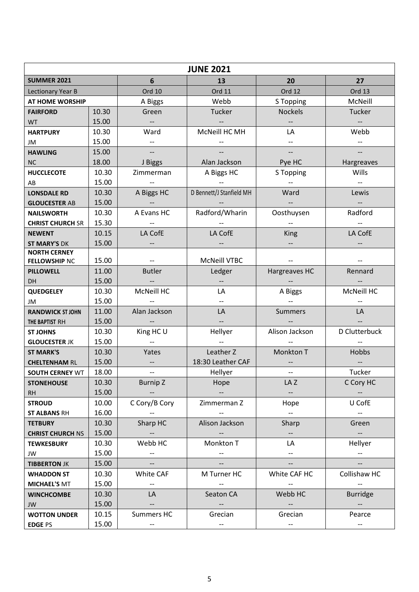|                               | <b>JUNE 2021</b> |                                                     |                          |                                                     |                          |  |
|-------------------------------|------------------|-----------------------------------------------------|--------------------------|-----------------------------------------------------|--------------------------|--|
| <b>SUMMER 2021</b>            |                  | $6\phantom{1}$                                      | 13                       | 20                                                  | 27                       |  |
| Lectionary Year B             |                  | Ord 10                                              | Ord 11                   | <b>Ord 12</b>                                       | Ord 13                   |  |
| AT HOME WORSHIP               |                  | A Biggs                                             | Webb                     | S Topping                                           | McNeill                  |  |
| <b>FAIRFORD</b>               | 10.30            | Green                                               | Tucker                   | <b>Nockels</b>                                      | Tucker                   |  |
| <b>WT</b>                     | 15.00            | $-\hbox{--}$                                        |                          |                                                     |                          |  |
| <b>HARTPURY</b>               | 10.30            | Ward                                                | McNeill HC MH            | LA                                                  | Webb                     |  |
| JM                            | 15.00            |                                                     |                          |                                                     |                          |  |
| <b>HAWLING</b>                | 15.00            | $\overline{\phantom{a}}$                            |                          | $\overline{\phantom{m}}$                            |                          |  |
| <b>NC</b>                     | 18.00            | J Biggs                                             | Alan Jackson             | Pye HC                                              | Hargreaves               |  |
| <b>HUCCLECOTE</b>             | 10.30            | Zimmerman                                           | A Biggs HC               | S Topping                                           | Wills                    |  |
| AB                            | 15.00            |                                                     |                          |                                                     |                          |  |
| <b>LONSDALE RD</b>            | 10.30            | A Biggs HC                                          | D Bennett/J Stanfield MH | Ward                                                | Lewis                    |  |
| <b>GLOUCESTER AB</b>          | 15.00            |                                                     |                          |                                                     | $\overline{\phantom{a}}$ |  |
| <b>NAILSWORTH</b>             | 10.30            | A Evans HC                                          | Radford/Wharin           | Oosthuysen                                          | Radford                  |  |
| <b>CHRIST CHURCH SR</b>       | 15.30            |                                                     |                          |                                                     |                          |  |
| <b>NEWENT</b>                 | 10.15            | LA CofE                                             | LA CofE                  | King                                                | LA CofE                  |  |
| <b>ST MARY'S DK</b>           | 15.00            |                                                     |                          |                                                     |                          |  |
| <b>NORTH CERNEY</b>           | 15.00            |                                                     | McNeill VTBC             |                                                     |                          |  |
| <b>FELLOWSHIP NC</b>          | 11.00            | <b>Butler</b>                                       | Ledger                   | Hargreaves HC                                       | Rennard                  |  |
| <b>PILLOWELL</b><br><b>DH</b> | 15.00            |                                                     |                          |                                                     |                          |  |
| <b>QUEDGELEY</b>              | 10.30            | McNeill HC                                          | LA                       | A Biggs                                             | McNeill HC               |  |
| JM                            | 15.00            |                                                     |                          |                                                     |                          |  |
| <b>RANDWICK ST JOHN</b>       | 11.00            | Alan Jackson                                        | LA                       | <b>Summers</b>                                      | LA                       |  |
| THE BAPTIST RH                | 15.00            |                                                     |                          |                                                     |                          |  |
| <b>ST JOHNS</b>               | 10.30            | King HC U                                           | Hellyer                  | Alison Jackson                                      | D Clutterbuck            |  |
| <b>GLOUCESTER JK</b>          | 15.00            |                                                     |                          |                                                     |                          |  |
| <b>ST MARK'S</b>              | 10.30            | Yates                                               | Leather Z                | Monkton T                                           | Hobbs                    |  |
| <b>CHELTENHAM RL</b>          | 15.00            | $\overline{\phantom{a}}$                            | 18:30 Leather CAF        |                                                     |                          |  |
| <b>SOUTH CERNEY WT</b>        | 18.00            | $\overline{\phantom{m}}$                            | Hellyer                  |                                                     | Tucker                   |  |
| <b>STONEHOUSE</b>             | 10.30            | <b>Burnip Z</b>                                     | Hope                     | LA Z                                                | C Cory HC                |  |
| RH                            | 15.00            |                                                     |                          | $\overline{\phantom{a}}$                            | $\overline{\phantom{a}}$ |  |
| <b>STROUD</b>                 | 10.00            | C Cory/B Cory                                       | Zimmerman Z              | Hope                                                | U CofE                   |  |
| <b>ST ALBANS RH</b>           | 16.00            |                                                     |                          | $\overline{\phantom{a}}$                            | $- -$                    |  |
| <b>TETBURY</b>                | 10.30            | Sharp HC                                            | Alison Jackson           | Sharp                                               | Green                    |  |
| <b>CHRIST CHURCH NS</b>       | 15.00            | $\overline{\phantom{a}}$                            |                          | $\hspace{0.05cm} -\hspace{0.05cm} -\hspace{0.05cm}$ | $\overline{\phantom{a}}$ |  |
| <b>TEWKESBURY</b>             | 10.30            | Webb HC                                             | Monkton T                | LA                                                  | Hellyer                  |  |
| JW                            | 15.00            | $\overline{\phantom{a}}$                            |                          | $- -$                                               | $\overline{\phantom{a}}$ |  |
| <b>TIBBERTON JK</b>           | 15.00            | $\overline{\phantom{a}}$                            |                          | $\overline{\phantom{a}}$                            |                          |  |
| <b>WHADDON ST</b>             | 10.30            | White CAF                                           | M Turner HC              | White CAF HC                                        | Collishaw HC             |  |
| <b>MICHAEL'S MT</b>           | 15.00            | $\hspace{0.05cm} -\hspace{0.05cm} -\hspace{0.05cm}$ |                          |                                                     |                          |  |
| <b>WINCHCOMBE</b>             | 10.30            | LA                                                  | Seaton CA                | Webb HC                                             | <b>Burridge</b>          |  |
| JW                            | 15.00            |                                                     |                          |                                                     |                          |  |
| <b>WOTTON UNDER</b>           | 10.15            | Summers HC                                          | Grecian                  | Grecian                                             | Pearce                   |  |
| <b>EDGE PS</b>                | 15.00            | $\hspace{0.05cm} \textbf{--}$                       | $-\hbox{--}$             | $\hspace{0.05cm} -\hspace{0.05cm} -\hspace{0.05cm}$ | $\overline{\phantom{a}}$ |  |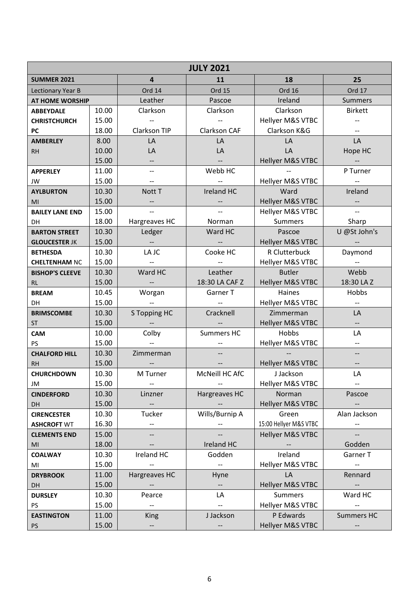| <b>JULY 2021</b>       |       |                          |                                   |                             |                          |
|------------------------|-------|--------------------------|-----------------------------------|-----------------------------|--------------------------|
| <b>SUMMER 2021</b>     |       | $\overline{4}$           | 11                                | 18                          | 25                       |
| Lectionary Year B      |       | Ord 14                   | <b>Ord 15</b>                     | Ord 16                      | Ord 17                   |
| <b>AT HOME WORSHIP</b> |       | Leather                  | Pascoe                            | Ireland                     | <b>Summers</b>           |
| <b>ABBEYDALE</b>       | 10.00 | Clarkson                 | Clarkson                          | Clarkson                    | <b>Birkett</b>           |
| <b>CHRISTCHURCH</b>    | 15.00 |                          |                                   | Hellyer M&S VTBC            |                          |
| PC                     | 18.00 | Clarkson TIP             | Clarkson CAF                      | Clarkson K&G                |                          |
| <b>AMBERLEY</b>        | 8.00  | LA                       | LA                                | LA                          | LA                       |
| <b>RH</b>              | 10.00 | LA                       | LA                                | LA                          | Hope HC                  |
|                        | 15.00 |                          |                                   | Hellyer M&S VTBC            |                          |
| <b>APPERLEY</b>        | 11.00 | $\overline{\phantom{a}}$ | Webb HC                           |                             | P Turner                 |
| JW                     | 15.00 |                          |                                   | Hellyer M&S VTBC            |                          |
| <b>AYLBURTON</b>       | 10.30 | Nott T                   | Ireland HC                        | Ward                        | Ireland                  |
| MI                     | 15.00 | --                       |                                   | Hellyer M&S VTBC            | $-\hbox{--}$             |
| <b>BAILEY LANE END</b> | 15.00 | $\overline{\phantom{a}}$ |                                   | Hellyer M&S VTBC            | $\overline{\phantom{a}}$ |
| DH                     | 18.00 | Hargreaves HC            | Norman                            | <b>Summers</b>              | Sharp                    |
| <b>BARTON STREET</b>   | 10.30 | Ledger                   | Ward HC                           | Pascoe                      | U @St John's             |
| <b>GLOUCESTER JK</b>   | 15.00 |                          |                                   | Hellyer M&S VTBC            |                          |
| <b>BETHESDA</b>        | 10.30 | LA JC                    | Cooke HC                          | R Clutterbuck               | Daymond                  |
| <b>CHELTENHAM NC</b>   | 15.00 |                          |                                   | Hellyer M&S VTBC            | $-$                      |
| <b>BISHOP'S CLEEVE</b> | 10.30 | Ward HC                  | Leather                           | <b>Butler</b>               | Webb                     |
| <b>RL</b>              | 15.00 | $\qquad \qquad -$        | 18:30 LA CAF Z                    | Hellyer M&S VTBC            | 18:30 LA Z               |
| <b>BREAM</b>           | 10.45 | Worgan                   | Garner T                          | Haines                      | Hobbs                    |
| <b>DH</b>              | 15.00 |                          |                                   | Hellyer M&S VTBC            | $\overline{\phantom{a}}$ |
| <b>BRIMSCOMBE</b>      | 10.30 | S Topping HC             | Cracknell                         | Zimmerman                   | LA                       |
| <b>ST</b>              | 15.00 |                          |                                   | Hellyer M&S VTBC            |                          |
| <b>CAM</b>             | 10.00 | Colby                    | Summers HC                        | Hobbs                       | LA                       |
| <b>PS</b>              | 15.00 |                          |                                   | Hellyer M&S VTBC            | $-$                      |
| <b>CHALFORD HILL</b>   | 10.30 | Zimmerman                |                                   |                             |                          |
| <b>RH</b>              | 15.00 |                          |                                   | Hellyer M&S VTBC            | $\overline{\phantom{a}}$ |
| <b>CHURCHDOWN</b>      | 10.30 | M Turner                 | McNeill HC AfC                    | J Jackson                   | LA                       |
| JM                     | 15.00 | $\overline{\phantom{m}}$ | $\hspace{0.05cm} \dashrightarrow$ | <b>Hellyer M&amp;S VTBC</b> | $- -$                    |
| <b>CINDERFORD</b>      | 10.30 | Linzner                  | Hargreaves HC                     | Norman                      | Pascoe                   |
| <b>DH</b>              | 15.00 |                          |                                   | Hellyer M&S VTBC            |                          |
| <b>CIRENCESTER</b>     | 10.30 | Tucker                   | Wills/Burnip A                    | Green                       | Alan Jackson             |
| <b>ASHCROFT WT</b>     | 16.30 | --                       |                                   | 15:00 Hellyer M&S VTBC      |                          |
| <b>CLEMENTS END</b>    | 15.00 | $-$                      |                                   | Hellyer M&S VTBC            |                          |
| MI                     | 18.00 |                          | Ireland HC                        |                             | Godden                   |
| <b>COALWAY</b>         | 10.30 | Ireland HC               | Godden                            | Ireland                     | Garner T                 |
| MI                     | 15.00 | --                       | $\overline{\phantom{a}}$          | Hellyer M&S VTBC            | $-\!$ –                  |
| <b>DRYBROOK</b>        | 11.00 | Hargreaves HC            | Hyne                              | LA                          | Rennard                  |
| DH                     | 15.00 | $\overline{\phantom{a}}$ | $\overline{\phantom{m}}$          | <b>Hellyer M&amp;S VTBC</b> | $\overline{\phantom{a}}$ |
| <b>DURSLEY</b>         | 10.30 | Pearce                   | LA                                | <b>Summers</b>              | Ward HC                  |
| PS                     | 15.00 | $\overline{\phantom{a}}$ |                                   | Hellyer M&S VTBC            |                          |
| <b>EASTINGTON</b>      | 11.00 | <b>King</b>              | J Jackson                         | P Edwards                   | <b>Summers HC</b>        |
| <b>PS</b>              | 15.00 | $\overline{\phantom{a}}$ |                                   | Hellyer M&S VTBC            |                          |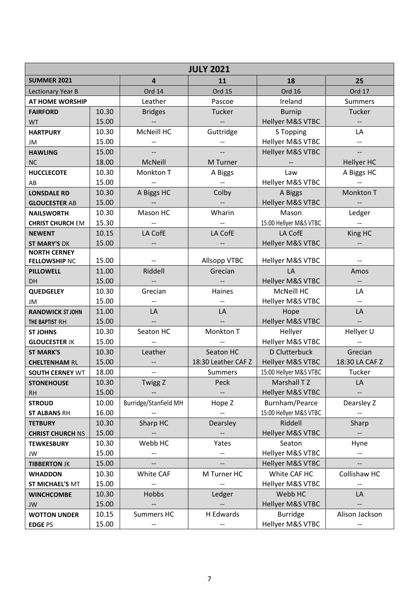|                                   | <b>JULY 2021</b> |                          |                          |                                |                          |  |
|-----------------------------------|------------------|--------------------------|--------------------------|--------------------------------|--------------------------|--|
| <b>SUMMER 2021</b>                |                  | $\overline{4}$           | 11                       | 18                             | 25                       |  |
| Lectionary Year B                 |                  | Ord 14                   | <b>Ord 15</b>            | <b>Ord 16</b>                  | Ord 17                   |  |
| AT HOME WORSHIP                   |                  | Leather                  | Pascoe                   | Ireland                        | <b>Summers</b>           |  |
| <b>FAIRFORD</b>                   | 10.30            | <b>Bridges</b>           | Tucker                   | <b>Burnip</b>                  | Tucker                   |  |
| <b>WT</b>                         | 15.00            |                          |                          | Hellyer M&S VTBC               |                          |  |
| <b>HARTPURY</b>                   | 10.30            | McNeill HC               | Guttridge                | S Topping                      | LA                       |  |
| JM                                | 15.00            |                          |                          | Hellyer M&S VTBC               | --                       |  |
| <b>HAWLING</b>                    | 15.00            |                          |                          | Hellyer M&S VTBC               |                          |  |
| <b>NC</b>                         | 18.00            | McNeill                  | M Turner                 |                                | <b>Hellyer HC</b>        |  |
| <b>HUCCLECOTE</b>                 | 10.30            | Monkton T                | A Biggs                  | Law                            | A Biggs HC               |  |
| AB                                | 15.00            |                          | $\overline{\phantom{a}}$ | Hellyer M&S VTBC               |                          |  |
| <b>LONSDALE RD</b>                | 10.30            | A Biggs HC               | Colby                    | A Biggs                        | Monkton T                |  |
| <b>GLOUCESTER AB</b>              | 15.00            |                          |                          | Hellyer M&S VTBC               |                          |  |
| <b>NAILSWORTH</b>                 | 10.30            | Mason HC                 | Wharin                   | Mason                          | Ledger                   |  |
| <b>CHRIST CHURCH EM</b>           | 15.30            |                          |                          | 15:00 Hellyer M&S VTBC         |                          |  |
| <b>NEWENT</b>                     | 10.15            | LA CofE                  | LA CofE                  | LA CofE                        | King HC                  |  |
| <b>ST MARY'S DK</b>               | 15.00            |                          |                          | Hellyer M&S VTBC               |                          |  |
| <b>NORTH CERNEY</b>               |                  |                          |                          |                                |                          |  |
| <b>FELLOWSHIP NC</b>              | 15.00            |                          | Allsopp VTBC             | Hellyer M&S VTBC               |                          |  |
| <b>PILLOWELL</b>                  | 11.00            | Riddell                  | Grecian                  | LA                             | Amos                     |  |
| DH.                               | 15.00            |                          |                          | Hellyer M&S VTBC               |                          |  |
| <b>QUEDGELEY</b>                  | 10.30<br>15.00   | Grecian                  | Haines                   | McNeill HC<br>Hellyer M&S VTBC | LA<br>$-$                |  |
| JM                                | 11.00            | LA                       | LA                       | Hope                           | LA                       |  |
| <b>RANDWICK ST JOHN</b>           | 15.00            |                          |                          | Hellyer M&S VTBC               | $\overline{\phantom{a}}$ |  |
| THE BAPTIST RH<br><b>ST JOHNS</b> | 10.30            | Seaton HC                | Monkton T                | Hellyer                        | Hellyer U                |  |
| <b>GLOUCESTER JK</b>              | 15.00            |                          |                          | Hellyer M&S VTBC               |                          |  |
| <b>ST MARK'S</b>                  | 10.30            | Leather                  | Seaton HC                | D Clutterbuck                  | Grecian                  |  |
| <b>CHELTENHAM RL</b>              | 15.00            |                          | 18:30 Leather CAFZ       | Hellyer M&S VTBC               | 18:30 LA CAF Z           |  |
| <b>SOUTH CERNEY WT</b>            | 18.00            | $\overline{\phantom{a}}$ | Summers                  | 15:00 Hellyer M&S VTBC         | Tucker                   |  |
| <b>STONEHOUSE</b>                 | 10.30            | Twigg Z                  | Peck                     | Marshall T Z                   | LA                       |  |
| <b>RH</b>                         | 15.00            |                          |                          | Hellyer M&S VTBC               |                          |  |
| <b>STROUD</b>                     | 10.00            | Burridge/Stanfield MH    | Hope Z                   | Burnham/Pearce                 | Dearsley Z               |  |
| <b>ST ALBANS RH</b>               | 16.00            |                          |                          | 15:00 Hellyer M&S VTBC         |                          |  |
| <b>TETBURY</b>                    | 10.30            | Sharp HC                 | Dearsley                 | Riddell                        | Sharp                    |  |
| <b>CHRIST CHURCH NS</b>           | 15.00            |                          |                          | Hellyer M&S VTBC               |                          |  |
| <b>TEWKESBURY</b>                 | 10.30            | Webb HC                  | Yates                    | Seaton                         | Hyne                     |  |
| JW                                | 15.00            |                          |                          | Hellyer M&S VTBC               |                          |  |
| <b>TIBBERTON JK</b>               | 15.00            |                          |                          | <b>Hellyer M&amp;S VTBC</b>    |                          |  |
| <b>WHADDON</b>                    | 10.30            | White CAF                | M Turner HC              | White CAF HC                   | Collishaw HC             |  |
| <b>ST MICHAEL'S MT</b>            | 15.00            |                          |                          | Hellyer M&S VTBC               |                          |  |
| <b>WINCHCOMBE</b>                 | 10.30            | Hobbs                    | Ledger                   | Webb HC                        | LA                       |  |
| JW                                | 15.00            |                          |                          | Hellyer M&S VTBC               |                          |  |
| <b>WOTTON UNDER</b>               | 10.15            | Summers HC               | H Edwards                | <b>Burridge</b>                | Alison Jackson           |  |
| <b>EDGE PS</b>                    | 15.00            |                          |                          | Hellyer M&S VTBC               |                          |  |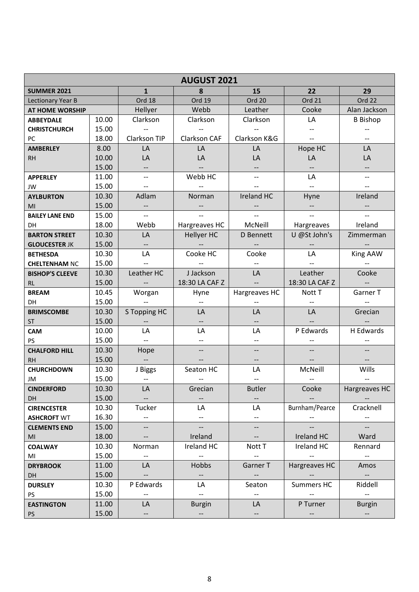| <b>AUGUST 2021</b>       |                |                                     |                          |                          |                |                          |
|--------------------------|----------------|-------------------------------------|--------------------------|--------------------------|----------------|--------------------------|
| <b>SUMMER 2021</b>       |                | $\mathbf{1}$                        | 8                        | 15                       | 22             | 29                       |
| <b>Lectionary Year B</b> |                | Ord 18                              | Ord 19                   | Ord 20                   | Ord 21         | Ord 22                   |
| <b>AT HOME WORSHIP</b>   |                | Hellyer                             | Webb                     | Leather                  | Cooke          | Alan Jackson             |
| <b>ABBEYDALE</b>         | 10.00          | Clarkson                            | Clarkson                 | Clarkson                 | LA             | <b>B</b> Bishop          |
| <b>CHRISTCHURCH</b>      | 15.00          | $\overline{\phantom{a}}$            |                          |                          |                |                          |
| PC                       | 18.00          | Clarkson TIP                        | <b>Clarkson CAF</b>      | Clarkson K&G             |                |                          |
| <b>AMBERLEY</b>          | 8.00           | LA                                  | LA                       | LA                       | Hope HC        | LA                       |
| <b>RH</b>                | 10.00          | LA                                  | LA                       | LA                       | LA             | LA                       |
|                          | 15.00          | --                                  |                          |                          |                | --                       |
| <b>APPERLEY</b>          | 11.00          | $\overline{\phantom{a}}$            | Webb HC                  |                          | LA             | $-$                      |
| JW                       | 15.00          |                                     |                          |                          |                |                          |
| <b>AYLBURTON</b>         | 10.30          | Adlam                               | Norman                   | Ireland HC               | Hyne           | Ireland                  |
| MI                       | 15.00          | --                                  | $\overline{\phantom{a}}$ |                          |                |                          |
| <b>BAILEY LANE END</b>   | 15.00          | $-$                                 |                          |                          |                |                          |
| DН                       | 18.00          | Webb                                | Hargreaves HC            | McNeill                  | Hargreaves     | Ireland                  |
| <b>BARTON STREET</b>     | 10.30          | LA                                  | Hellyer HC               | D Bennett                | U @St John's   | Zimmerman                |
| <b>GLOUCESTER JK</b>     | 15.00          | $\overline{\phantom{a}}$            |                          |                          |                |                          |
| <b>BETHESDA</b>          | 10.30          | LA                                  | Cooke HC                 | Cooke                    | LA             | King AAW                 |
| <b>CHELTENHAM NC</b>     | 15.00          |                                     |                          |                          |                |                          |
| <b>BISHOP'S CLEEVE</b>   | 10.30          | Leather HC                          | J Jackson                | LA                       | Leather        | Cooke                    |
| <b>RL</b>                | 15.00          |                                     | 18:30 LA CAF Z           | $\overline{a}$           | 18:30 LA CAF Z |                          |
| <b>BREAM</b>             | 10.45          | Worgan                              | Hyne                     | Hargreaves HC            | Nott T         | Garner T                 |
| DH                       | 15.00          |                                     |                          |                          |                |                          |
| <b>BRIMSCOMBE</b>        | 10.30          | S Topping HC                        | LA                       | LA                       | LA             | Grecian                  |
| <b>ST</b>                | 15.00          |                                     |                          |                          |                |                          |
| <b>CAM</b>               | 10.00          | LA                                  | LA                       | LA                       | P Edwards      | H Edwards                |
| <b>PS</b>                | 15.00          | $- -$                               | $-$                      |                          |                |                          |
| <b>CHALFORD HILL</b>     | 10.30<br>15.00 | Hope<br>$\mathbb{H}^{\mathbb{Z}}$   |                          | $\overline{\phantom{a}}$ |                |                          |
| <b>RH</b>                | 10.30          |                                     |                          | LA                       | McNeill        | Wills                    |
| <b>CHURCHDOWN</b>        | 15.00          | J Biggs<br>$\overline{\phantom{a}}$ | Seaton HC                |                          |                |                          |
| JM<br><b>CINDERFORD</b>  | 10.30          | LA                                  | Grecian                  | <b>Butler</b>            | Cooke          | Hargreaves HC            |
| DH                       | 15.00          |                                     |                          |                          |                |                          |
| <b>CIRENCESTER</b>       | 10.30          | Tucker                              | LA                       | LA                       | Burnham/Pearce | Cracknell                |
| <b>ASHCROFT WT</b>       | 16.30          |                                     | $\overline{\phantom{a}}$ |                          |                |                          |
| <b>CLEMENTS END</b>      | 15.00          |                                     | $\overline{\phantom{a}}$ | $\overline{\phantom{a}}$ |                |                          |
| MI                       | 18.00          |                                     | Ireland                  |                          | Ireland HC     | Ward                     |
| <b>COALWAY</b>           | 10.30          | Norman                              | Ireland HC               | Nott T                   | Ireland HC     | Rennard                  |
| MI                       | 15.00          | $\overline{\phantom{a}}$            | $\overline{\phantom{a}}$ | <u>.,</u>                |                | $\hspace{0.05cm} \ldots$ |
| <b>DRYBROOK</b>          | 11.00          | LA                                  | Hobbs                    | Garner T                 | Hargreaves HC  | Amos                     |
| DH                       | 15.00          |                                     | $\overline{\phantom{a}}$ |                          |                | $\overline{\phantom{m}}$ |
| <b>DURSLEY</b>           | 10.30          | P Edwards                           | LA                       | Seaton                   | Summers HC     | Riddell                  |
| <b>PS</b>                | 15.00          |                                     | $-$                      |                          |                | $\overline{\phantom{a}}$ |
| <b>EASTINGTON</b>        | 11.00          | LA                                  | <b>Burgin</b>            | LA                       | P Turner       | <b>Burgin</b>            |
| <b>PS</b>                | 15.00          | $\overline{\phantom{a}}$            | $\overline{\phantom{a}}$ | $\overline{\phantom{a}}$ |                | $\overline{\phantom{a}}$ |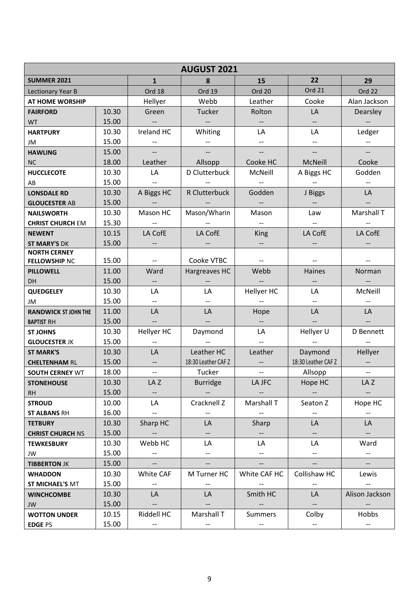|                                         | <b>AUGUST 2021</b> |                                |                          |                                  |                                   |                          |
|-----------------------------------------|--------------------|--------------------------------|--------------------------|----------------------------------|-----------------------------------|--------------------------|
| <b>SUMMER 2021</b>                      |                    | $\mathbf{1}$                   | 8                        | 15                               | 22                                | 29                       |
| Lectionary Year B                       |                    | Ord 18                         | Ord 19                   | Ord 20                           | <b>Ord 21</b>                     | Ord 22                   |
| AT HOME WORSHIP                         |                    | Hellyer                        | Webb                     | Leather                          | Cooke                             | Alan Jackson             |
| <b>FAIRFORD</b>                         | 10.30              | Green                          | Tucker                   | Rolton                           | LA                                | Dearsley                 |
| <b>WT</b>                               | 15.00              | $-\hbox{--}$                   | $\overline{\phantom{a}}$ | $\overline{\phantom{m}}$         | $- -$                             |                          |
| <b>HARTPURY</b>                         | 10.30              | Ireland HC                     | Whiting                  | LA                               | LA                                | Ledger                   |
| JM                                      | 15.00              |                                |                          |                                  | $- -$                             | $\overline{\phantom{a}}$ |
| <b>HAWLING</b>                          | 15.00              | $--$                           | $\overline{\phantom{a}}$ |                                  | $--$                              | $\overline{\phantom{a}}$ |
| <b>NC</b>                               | 18.00              | Leather                        | Allsopp                  | Cooke HC                         | McNeill                           | Cooke                    |
| <b>HUCCLECOTE</b>                       | 10.30              | LA                             | D Clutterbuck            | McNeill                          | A Biggs HC                        | Godden                   |
| AB                                      | 15.00              |                                |                          |                                  | $\overline{\phantom{m}}$          |                          |
| <b>LONSDALE RD</b>                      | 10.30              | A Biggs HC                     | R Clutterbuck            | Godden                           | J Biggs                           | LA                       |
| <b>GLOUCESTER AB</b>                    | 15.00              |                                |                          | $\overline{\phantom{a}}$         | $\overline{\phantom{a}}$          |                          |
| <b>NAILSWORTH</b>                       | 10.30              | Mason HC                       | Mason/Wharin             | Mason                            | Law                               | Marshall T               |
| <b>CHRIST CHURCH EM</b>                 | 15.30              |                                |                          | $\overline{\phantom{a}}$         |                                   |                          |
| <b>NEWENT</b>                           | 10.15              | LA CofE                        | LA CofE                  | <b>King</b>                      | LA CofE                           | LA CofE                  |
| <b>ST MARY'S DK</b>                     | 15.00              |                                |                          | $\overline{\phantom{a}}$         |                                   |                          |
| <b>NORTH CERNEY</b>                     |                    |                                |                          |                                  |                                   |                          |
| <b>FELLOWSHIP NC</b>                    | 15.00              | $\overline{\phantom{a}}$       | Cooke VTBC               |                                  | $\overline{\phantom{a}}$          |                          |
| <b>PILLOWELL</b>                        | 11.00              | Ward                           | Hargreaves HC            | Webb                             | Haines                            | Norman                   |
| <b>DH</b>                               | 15.00              | $- -$                          |                          |                                  | --                                |                          |
| <b>QUEDGELEY</b>                        | 10.30<br>15.00     | LA<br>$\overline{\phantom{a}}$ | LA                       | Hellyer HC                       | LA<br>$- -$                       | McNeill                  |
| JM                                      | 11.00              | LA                             | LA                       |                                  | LA                                | LA                       |
| <b>RANDWICK ST JOHN THE</b>             | 15.00              | $\overline{\phantom{a}}$       |                          | Hope<br>$\overline{\phantom{a}}$ | $\overline{\phantom{a}}$          |                          |
| <b>BAPTIST RH</b>                       | 10.30              | Hellyer HC                     | Daymond                  | LA                               | Hellyer U                         | D Bennett                |
| <b>ST JOHNS</b><br><b>GLOUCESTER JK</b> | 15.00              | $\overline{\phantom{a}}$       |                          | $\overline{\phantom{a}}$         |                                   |                          |
| <b>ST MARK'S</b>                        | 10.30              | LA                             | Leather HC               | Leather                          | Daymond                           | Hellyer                  |
| <b>CHELTENHAM RL</b>                    | 15.00              | $- -$                          | 18:30 Leather CAF Z      | $\overline{\phantom{a}}$         | 18:30 Leather CAF Z               | $\overline{\phantom{a}}$ |
| <b>SOUTH CERNEY WT</b>                  | 18.00              | $-$                            | Tucker                   | --                               | Allsopp                           | $\overline{\phantom{m}}$ |
| <b>STONEHOUSE</b>                       | 10.30              | LA Z                           | <b>Burridge</b>          | LA JFC                           | Hope HC                           | LA Z                     |
| <b>RH</b>                               | 15.00              | $\overline{\phantom{a}}$       | $\overline{\phantom{a}}$ | $\overline{\phantom{a}}$         | $\overline{\phantom{a}}$          | $\overline{\phantom{a}}$ |
| <b>STROUD</b>                           | 10.00              | LA                             | Cracknell Z              | Marshall T                       | Seaton Z                          | Hope HC                  |
| <b>ST ALBANS RH</b>                     | 16.00              | $\overline{\phantom{a}}$       | $- -$                    | $-\!$ –                          | $- -$                             | $\overline{\phantom{a}}$ |
| <b>TETBURY</b>                          | 10.30              | Sharp HC                       | LA                       | Sharp                            | LA                                | LA                       |
| <b>CHRIST CHURCH NS</b>                 | 15.00              | $\overline{\phantom{a}}$       | $\overline{\phantom{a}}$ | $\overline{\phantom{a}}$         | $\overline{\phantom{a}}$          | $\sim$                   |
| <b>TEWKESBURY</b>                       | 10.30              | Webb HC                        | LA                       | LA                               | LA                                | Ward                     |
| JW                                      | 15.00              | $\overline{\phantom{a}}$       | --                       |                                  | $--$                              | $\overline{\phantom{a}}$ |
| <b>TIBBERTON JK</b>                     | 15.00              | $\overline{\phantom{a}}$       | $\overline{\phantom{a}}$ | $\overline{\phantom{a}}$         | $\overline{\phantom{a}}$          | $\overline{\phantom{a}}$ |
| <b>WHADDON</b>                          | 10.30              | White CAF                      | M Turner HC              | White CAF HC                     | Collishaw HC                      | Lewis                    |
| <b>ST MICHAEL'S MT</b>                  | 15.00              |                                |                          |                                  |                                   | $\overline{\phantom{a}}$ |
| <b>WINCHCOMBE</b>                       | 10.30              | LA                             | LA                       | Smith HC                         | LA                                | Alison Jackson           |
| JW                                      | 15.00              | $\overline{\phantom{a}}$       | $--$                     | $\overline{\phantom{a}}$         | $\overline{\phantom{a}}$          |                          |
| <b>WOTTON UNDER</b>                     | 10.15              | Riddell HC                     | Marshall T               | Summers                          | Colby                             | Hobbs                    |
| <b>EDGE PS</b>                          | 15.00              | $- -$                          | $-\hbox{--}$             | $-\hbox{--}$                     | $\hspace{0.05cm} \dashrightarrow$ | $\overline{\phantom{a}}$ |